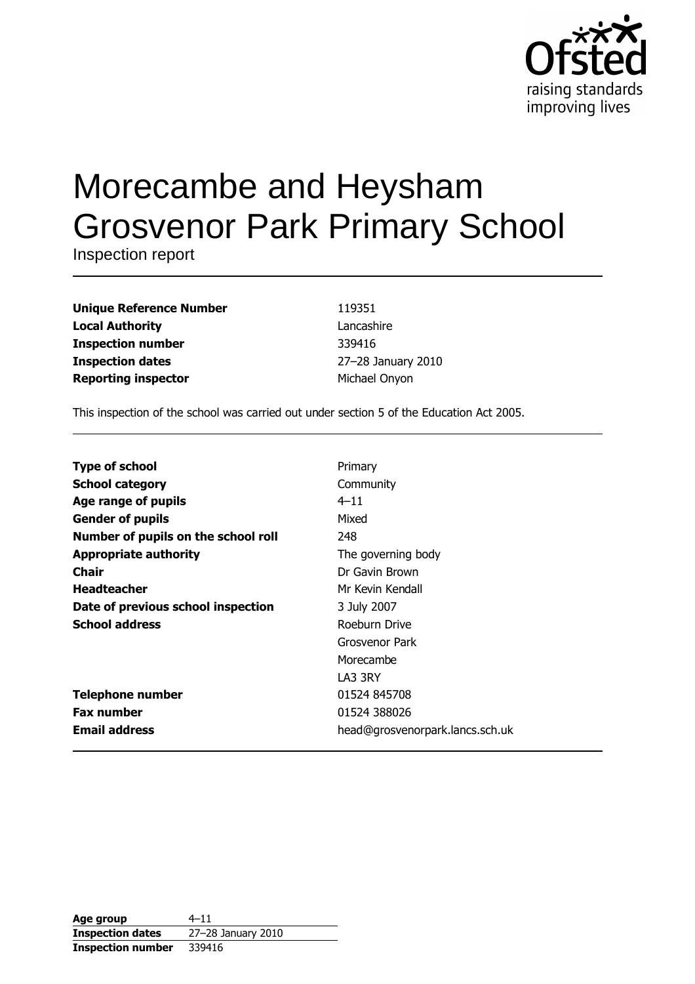

# Morecambe and Heysham **Grosvenor Park Primary School**

Inspection report

| <b>Unique Reference Number</b> |
|--------------------------------|
| <b>Local Authority</b>         |
| <b>Inspection number</b>       |
| <b>Inspection dates</b>        |
| <b>Reporting inspector</b>     |

119351 Lancashire 339416 27-28 January 2010 Michael Onyon

This inspection of the school was carried out under section 5 of the Education Act 2005.

| <b>Type of school</b>               | Primary                         |
|-------------------------------------|---------------------------------|
| <b>School category</b>              | Community                       |
| Age range of pupils                 | $4 - 11$                        |
| <b>Gender of pupils</b>             | Mixed                           |
| Number of pupils on the school roll | 248                             |
| <b>Appropriate authority</b>        | The governing body              |
| Chair                               | Dr Gavin Brown                  |
| <b>Headteacher</b>                  | Mr Kevin Kendall                |
| Date of previous school inspection  | 3 July 2007                     |
| <b>School address</b>               | Roeburn Drive                   |
|                                     | Grosvenor Park                  |
|                                     | Morecambe                       |
|                                     | LA3 3RY                         |
| <b>Telephone number</b>             | 01524 845708                    |
| <b>Fax number</b>                   | 01524 388026                    |
| <b>Email address</b>                | head@grosvenorpark.lancs.sch.uk |

| Age group                | $4 - 11$           |
|--------------------------|--------------------|
| <b>Inspection dates</b>  | 27-28 January 2010 |
| <b>Inspection number</b> | 339416             |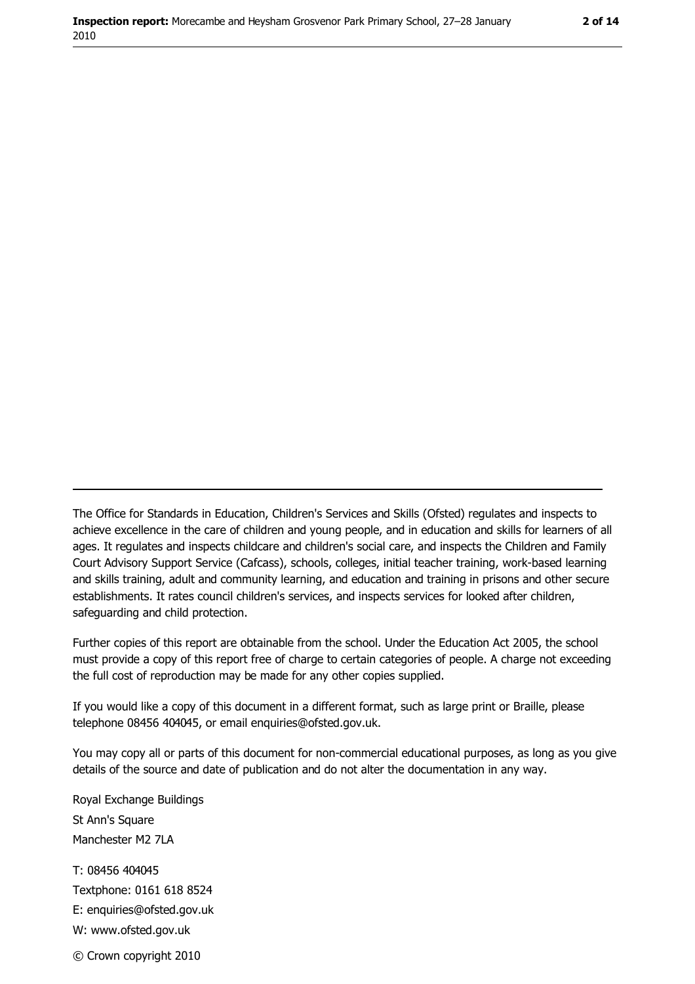The Office for Standards in Education, Children's Services and Skills (Ofsted) regulates and inspects to achieve excellence in the care of children and young people, and in education and skills for learners of all ages. It regulates and inspects childcare and children's social care, and inspects the Children and Family Court Advisory Support Service (Cafcass), schools, colleges, initial teacher training, work-based learning and skills training, adult and community learning, and education and training in prisons and other secure establishments. It rates council children's services, and inspects services for looked after children, safequarding and child protection.

Further copies of this report are obtainable from the school. Under the Education Act 2005, the school must provide a copy of this report free of charge to certain categories of people. A charge not exceeding the full cost of reproduction may be made for any other copies supplied.

If you would like a copy of this document in a different format, such as large print or Braille, please telephone 08456 404045, or email enquiries@ofsted.gov.uk.

You may copy all or parts of this document for non-commercial educational purposes, as long as you give details of the source and date of publication and do not alter the documentation in any way.

Royal Exchange Buildings St Ann's Square Manchester M2 7LA T: 08456 404045 Textphone: 0161 618 8524 E: enquiries@ofsted.gov.uk W: www.ofsted.gov.uk © Crown copyright 2010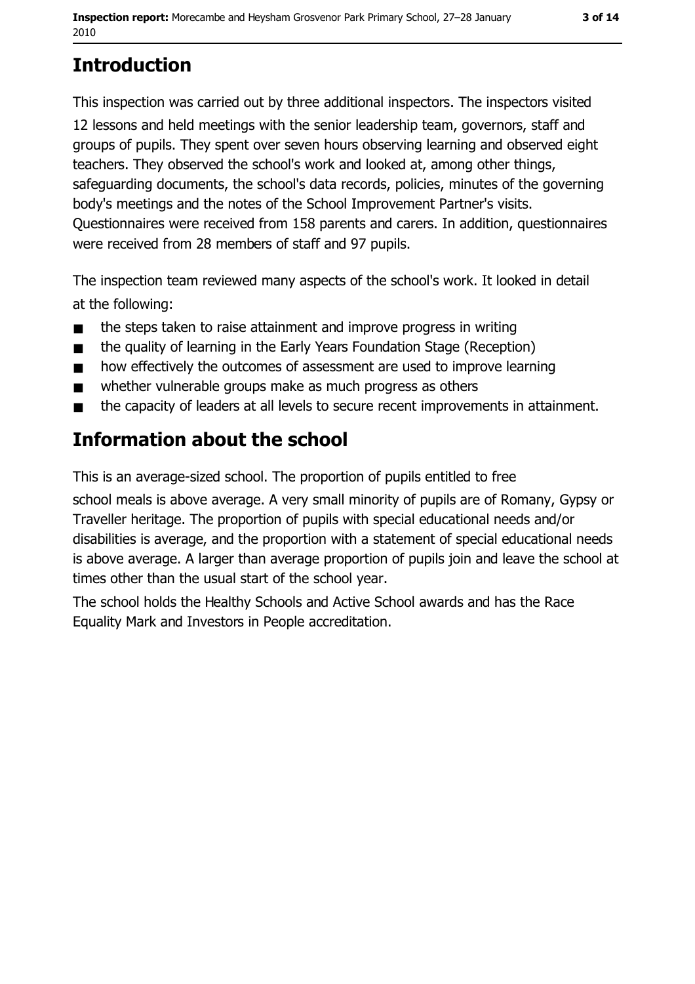# **Introduction**

This inspection was carried out by three additional inspectors. The inspectors visited 12 lessons and held meetings with the senior leadership team, governors, staff and groups of pupils. They spent over seven hours observing learning and observed eight teachers. They observed the school's work and looked at, among other things, safeguarding documents, the school's data records, policies, minutes of the governing body's meetings and the notes of the School Improvement Partner's visits. Ouestionnaires were received from 158 parents and carers. In addition, questionnaires were received from 28 members of staff and 97 pupils.

The inspection team reviewed many aspects of the school's work. It looked in detail at the following:

- the steps taken to raise attainment and improve progress in writing  $\blacksquare$
- the quality of learning in the Early Years Foundation Stage (Reception)  $\blacksquare$
- how effectively the outcomes of assessment are used to improve learning  $\blacksquare$
- whether vulnerable groups make as much progress as others  $\blacksquare$
- the capacity of leaders at all levels to secure recent improvements in attainment.  $\blacksquare$

## Information about the school

This is an average-sized school. The proportion of pupils entitled to free

school meals is above average. A very small minority of pupils are of Romany, Gypsy or Traveller heritage. The proportion of pupils with special educational needs and/or disabilities is average, and the proportion with a statement of special educational needs is above average. A larger than average proportion of pupils join and leave the school at times other than the usual start of the school year.

The school holds the Healthy Schools and Active School awards and has the Race Equality Mark and Investors in People accreditation.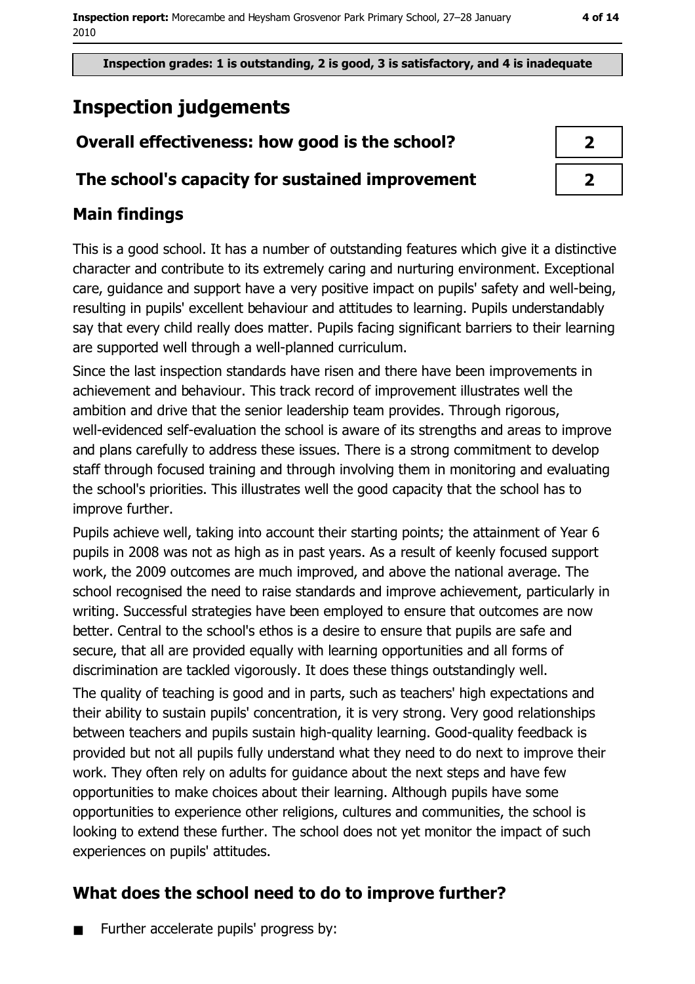Inspection grades: 1 is outstanding, 2 is good, 3 is satisfactory, and 4 is inadequate

# **Inspection judgements**

## Overall effectiveness: how good is the school?

## The school's capacity for sustained improvement

## **Main findings**

This is a good school. It has a number of outstanding features which give it a distinctive character and contribute to its extremely caring and nurturing environment. Exceptional care, guidance and support have a very positive impact on pupils' safety and well-being, resulting in pupils' excellent behaviour and attitudes to learning. Pupils understandably say that every child really does matter. Pupils facing significant barriers to their learning are supported well through a well-planned curriculum.

Since the last inspection standards have risen and there have been improvements in achievement and behaviour. This track record of improvement illustrates well the ambition and drive that the senior leadership team provides. Through rigorous, well-evidenced self-evaluation the school is aware of its strengths and areas to improve and plans carefully to address these issues. There is a strong commitment to develop staff through focused training and through involving them in monitoring and evaluating the school's priorities. This illustrates well the good capacity that the school has to improve further.

Pupils achieve well, taking into account their starting points; the attainment of Year 6 pupils in 2008 was not as high as in past years. As a result of keenly focused support work, the 2009 outcomes are much improved, and above the national average. The school recognised the need to raise standards and improve achievement, particularly in writing. Successful strategies have been employed to ensure that outcomes are now better. Central to the school's ethos is a desire to ensure that pupils are safe and secure, that all are provided equally with learning opportunities and all forms of discrimination are tackled vigorously. It does these things outstandingly well.

The quality of teaching is good and in parts, such as teachers' high expectations and their ability to sustain pupils' concentration, it is very strong. Very good relationships between teachers and pupils sustain high-quality learning. Good-quality feedback is provided but not all pupils fully understand what they need to do next to improve their work. They often rely on adults for guidance about the next steps and have few opportunities to make choices about their learning. Although pupils have some opportunities to experience other religions, cultures and communities, the school is looking to extend these further. The school does not yet monitor the impact of such experiences on pupils' attitudes.

# What does the school need to do to improve further?

Further accelerate pupils' progress by:  $\blacksquare$ 

| 2 |  |
|---|--|
| 2 |  |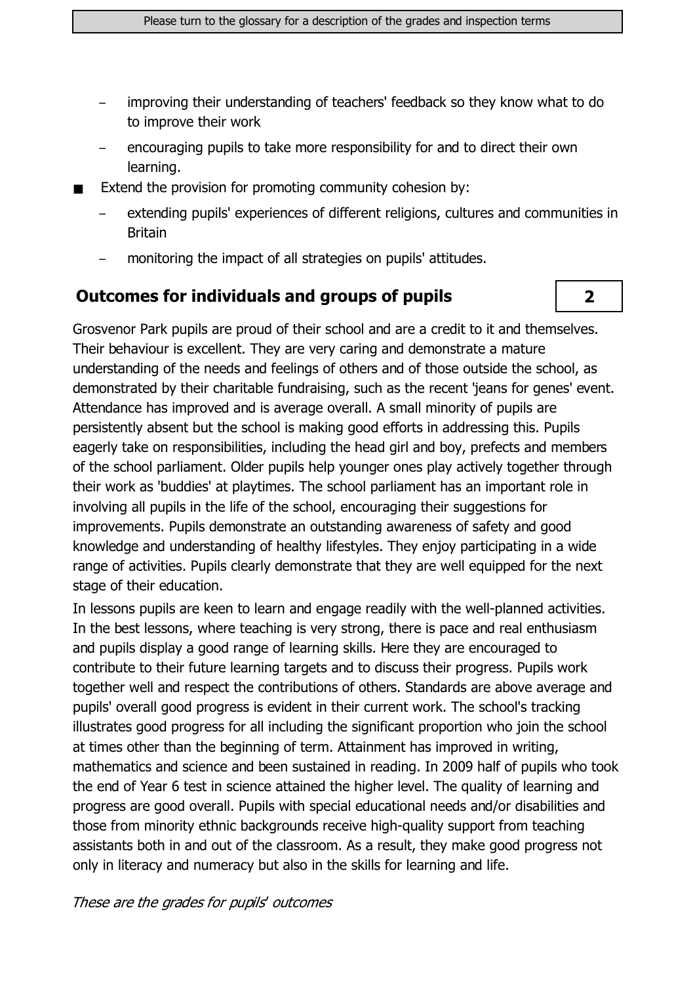- improving their understanding of teachers' feedback so they know what to do to improve their work
- encouraging pupils to take more responsibility for and to direct their own learning.
- Extend the provision for promoting community cohesion by:
	- extending pupils' experiences of different religions, cultures and communities in **Britain**

 $\overline{\mathbf{2}}$ 

monitoring the impact of all strategies on pupils' attitudes.

#### **Outcomes for individuals and groups of pupils**

Grosvenor Park pupils are proud of their school and are a credit to it and themselves. Their behaviour is excellent. They are very caring and demonstrate a mature understanding of the needs and feelings of others and of those outside the school, as demonstrated by their charitable fundraising, such as the recent 'jeans for genes' event. Attendance has improved and is average overall. A small minority of pupils are persistently absent but the school is making good efforts in addressing this. Pupils eagerly take on responsibilities, including the head girl and boy, prefects and members of the school parliament. Older pupils help younger ones play actively together through their work as 'buddies' at playtimes. The school parliament has an important role in involving all pupils in the life of the school, encouraging their suggestions for improvements. Pupils demonstrate an outstanding awareness of safety and good knowledge and understanding of healthy lifestyles. They enjoy participating in a wide range of activities. Pupils clearly demonstrate that they are well equipped for the next stage of their education.

In lessons pupils are keen to learn and engage readily with the well-planned activities. In the best lessons, where teaching is very strong, there is pace and real enthusiasm and pupils display a good range of learning skills. Here they are encouraged to contribute to their future learning targets and to discuss their progress. Pupils work together well and respect the contributions of others. Standards are above average and pupils' overall good progress is evident in their current work. The school's tracking illustrates good progress for all including the significant proportion who join the school at times other than the beginning of term. Attainment has improved in writing, mathematics and science and been sustained in reading. In 2009 half of pupils who took the end of Year 6 test in science attained the higher level. The quality of learning and progress are good overall. Pupils with special educational needs and/or disabilities and those from minority ethnic backgrounds receive high-quality support from teaching assistants both in and out of the classroom. As a result, they make good progress not only in literacy and numeracy but also in the skills for learning and life.

#### These are the grades for pupils' outcomes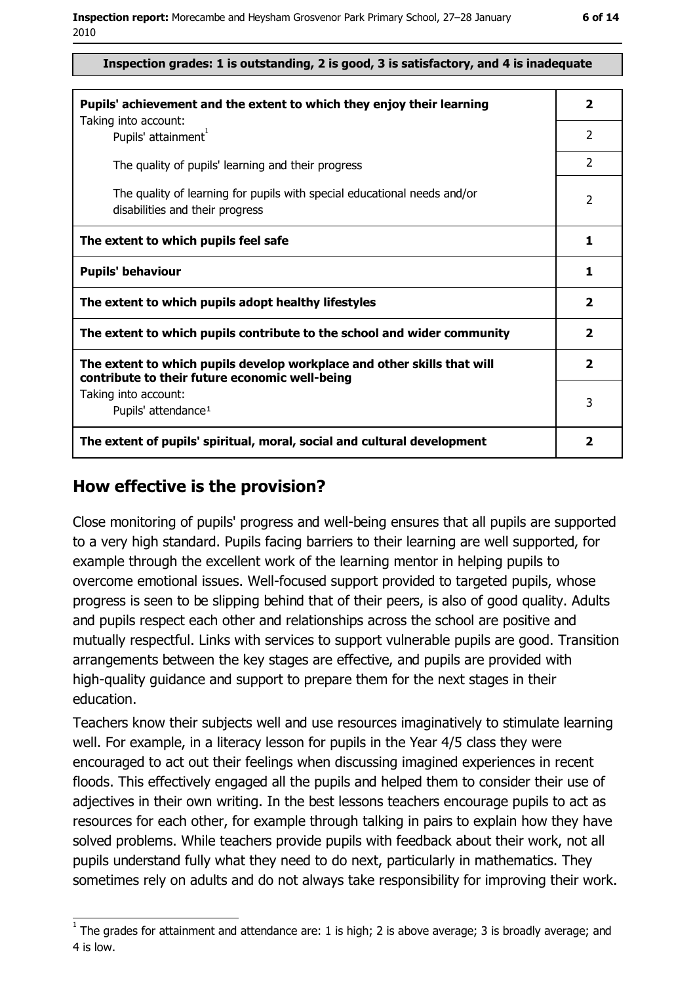| Inspection grades: 1 is outstanding, 2 is good, 3 is satisfactory, and 4 is inadequate |  |  |  |  |
|----------------------------------------------------------------------------------------|--|--|--|--|
|----------------------------------------------------------------------------------------|--|--|--|--|

| Pupils' achievement and the extent to which they enjoy their learning                                                     |                          |  |
|---------------------------------------------------------------------------------------------------------------------------|--------------------------|--|
| Taking into account:<br>Pupils' attainment <sup>1</sup>                                                                   | 2                        |  |
| The quality of pupils' learning and their progress                                                                        | $\mathcal{P}$            |  |
| The quality of learning for pupils with special educational needs and/or<br>disabilities and their progress               | $\overline{\phantom{a}}$ |  |
| The extent to which pupils feel safe                                                                                      | 1                        |  |
| <b>Pupils' behaviour</b>                                                                                                  | 1                        |  |
| The extent to which pupils adopt healthy lifestyles                                                                       | $\overline{\mathbf{2}}$  |  |
| The extent to which pupils contribute to the school and wider community                                                   | $\overline{\mathbf{2}}$  |  |
| The extent to which pupils develop workplace and other skills that will<br>contribute to their future economic well-being | $\overline{2}$           |  |
| Taking into account:<br>Pupils' attendance <sup>1</sup>                                                                   | 3                        |  |
| The extent of pupils' spiritual, moral, social and cultural development                                                   | $\overline{\mathbf{2}}$  |  |

#### How effective is the provision?

Close monitoring of pupils' progress and well-being ensures that all pupils are supported to a very high standard. Pupils facing barriers to their learning are well supported, for example through the excellent work of the learning mentor in helping pupils to overcome emotional issues. Well-focused support provided to targeted pupils, whose progress is seen to be slipping behind that of their peers, is also of good quality. Adults and pupils respect each other and relationships across the school are positive and mutually respectful. Links with services to support vulnerable pupils are good. Transition arrangements between the key stages are effective, and pupils are provided with high-quality quidance and support to prepare them for the next stages in their education.

Teachers know their subjects well and use resources imaginatively to stimulate learning well. For example, in a literacy lesson for pupils in the Year 4/5 class they were encouraged to act out their feelings when discussing imagined experiences in recent floods. This effectively engaged all the pupils and helped them to consider their use of adjectives in their own writing. In the best lessons teachers encourage pupils to act as resources for each other, for example through talking in pairs to explain how they have solved problems. While teachers provide pupils with feedback about their work, not all pupils understand fully what they need to do next, particularly in mathematics. They sometimes rely on adults and do not always take responsibility for improving their work.

 $1$  The arades for attainment and attendance are: 1 is high; 2 is above average; 3 is broadly average; and 4 is low.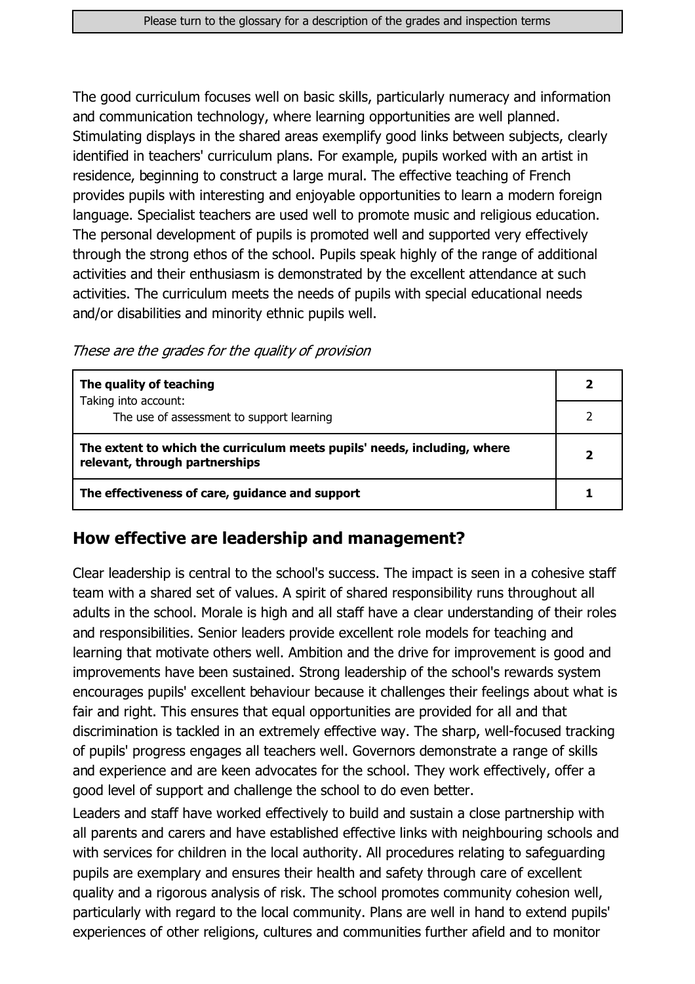The good curriculum focuses well on basic skills, particularly numeracy and information and communication technology, where learning opportunities are well planned. Stimulating displays in the shared areas exemplify good links between subjects, clearly identified in teachers' curriculum plans. For example, pupils worked with an artist in residence, beginning to construct a large mural. The effective teaching of French provides pupils with interesting and enjoyable opportunities to learn a modern foreign language. Specialist teachers are used well to promote music and religious education. The personal development of pupils is promoted well and supported very effectively through the strong ethos of the school. Pupils speak highly of the range of additional activities and their enthusiasm is demonstrated by the excellent attendance at such activities. The curriculum meets the needs of pupils with special educational needs and/or disabilities and minority ethnic pupils well.

These are the grades for the quality of provision

| The quality of teaching                                                                                    |  |
|------------------------------------------------------------------------------------------------------------|--|
| Taking into account:<br>The use of assessment to support learning                                          |  |
| The extent to which the curriculum meets pupils' needs, including, where<br>relevant, through partnerships |  |
| The effectiveness of care, guidance and support                                                            |  |

## How effective are leadership and management?

Clear leadership is central to the school's success. The impact is seen in a cohesive staff team with a shared set of values. A spirit of shared responsibility runs throughout all adults in the school. Morale is high and all staff have a clear understanding of their roles and responsibilities. Senior leaders provide excellent role models for teaching and learning that motivate others well. Ambition and the drive for improvement is good and improvements have been sustained. Strong leadership of the school's rewards system encourages pupils' excellent behaviour because it challenges their feelings about what is fair and right. This ensures that equal opportunities are provided for all and that discrimination is tackled in an extremely effective way. The sharp, well-focused tracking of pupils' progress engages all teachers well. Governors demonstrate a range of skills and experience and are keen advocates for the school. They work effectively, offer a good level of support and challenge the school to do even better.

Leaders and staff have worked effectively to build and sustain a close partnership with all parents and carers and have established effective links with neighbouring schools and with services for children in the local authority. All procedures relating to safeguarding pupils are exemplary and ensures their health and safety through care of excellent quality and a rigorous analysis of risk. The school promotes community cohesion well, particularly with regard to the local community. Plans are well in hand to extend pupils' experiences of other religions, cultures and communities further afield and to monitor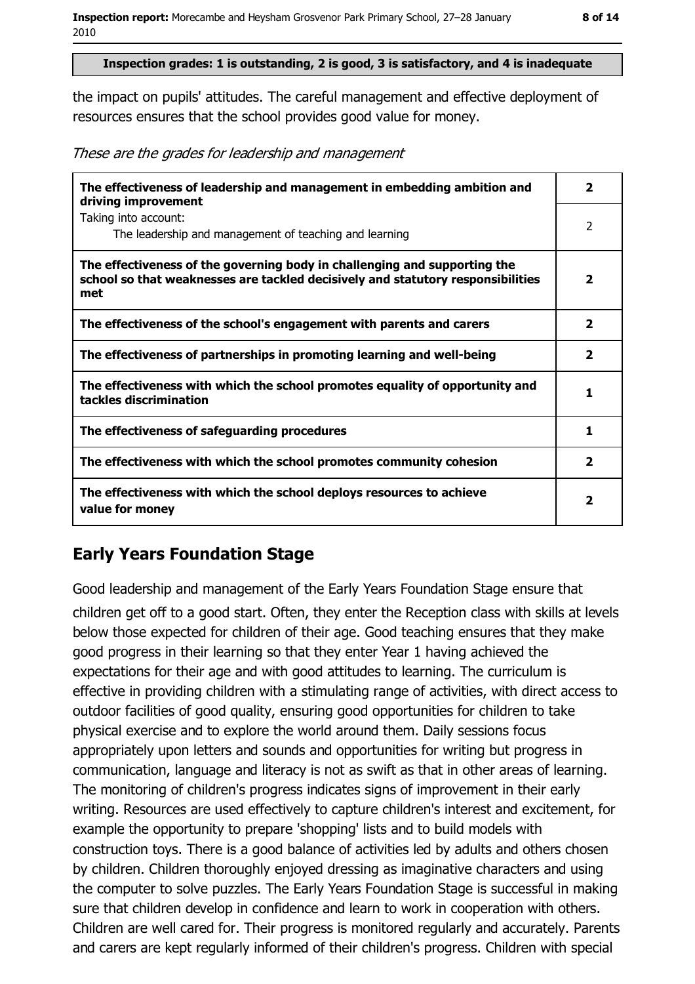#### Inspection grades: 1 is outstanding, 2 is good, 3 is satisfactory, and 4 is inadequate

the impact on pupils' attitudes. The careful management and effective deployment of resources ensures that the school provides good value for money.

These are the grades for leadership and management

| The effectiveness of leadership and management in embedding ambition and<br>driving improvement                                                                     | $\overline{\mathbf{2}}$ |
|---------------------------------------------------------------------------------------------------------------------------------------------------------------------|-------------------------|
| Taking into account:<br>The leadership and management of teaching and learning                                                                                      | $\mathcal{P}$           |
| The effectiveness of the governing body in challenging and supporting the<br>school so that weaknesses are tackled decisively and statutory responsibilities<br>met | $\overline{\mathbf{2}}$ |
| The effectiveness of the school's engagement with parents and carers                                                                                                | $\overline{\mathbf{2}}$ |
| The effectiveness of partnerships in promoting learning and well-being                                                                                              | $\mathbf{2}$            |
| The effectiveness with which the school promotes equality of opportunity and<br>tackles discrimination                                                              | 1                       |
| The effectiveness of safeguarding procedures                                                                                                                        | 1                       |
| The effectiveness with which the school promotes community cohesion                                                                                                 | $\overline{\mathbf{2}}$ |
| The effectiveness with which the school deploys resources to achieve<br>value for money                                                                             | $\overline{\mathbf{2}}$ |

## **Early Years Foundation Stage**

Good leadership and management of the Early Years Foundation Stage ensure that children get off to a good start. Often, they enter the Reception class with skills at levels below those expected for children of their age. Good teaching ensures that they make good progress in their learning so that they enter Year 1 having achieved the expectations for their age and with good attitudes to learning. The curriculum is effective in providing children with a stimulating range of activities, with direct access to outdoor facilities of good quality, ensuring good opportunities for children to take physical exercise and to explore the world around them. Daily sessions focus appropriately upon letters and sounds and opportunities for writing but progress in communication, language and literacy is not as swift as that in other areas of learning. The monitoring of children's progress indicates signs of improvement in their early writing. Resources are used effectively to capture children's interest and excitement, for example the opportunity to prepare 'shopping' lists and to build models with construction toys. There is a good balance of activities led by adults and others chosen by children. Children thoroughly enjoyed dressing as imaginative characters and using the computer to solve puzzles. The Early Years Foundation Stage is successful in making sure that children develop in confidence and learn to work in cooperation with others. Children are well cared for. Their progress is monitored regularly and accurately. Parents and carers are kept regularly informed of their children's progress. Children with special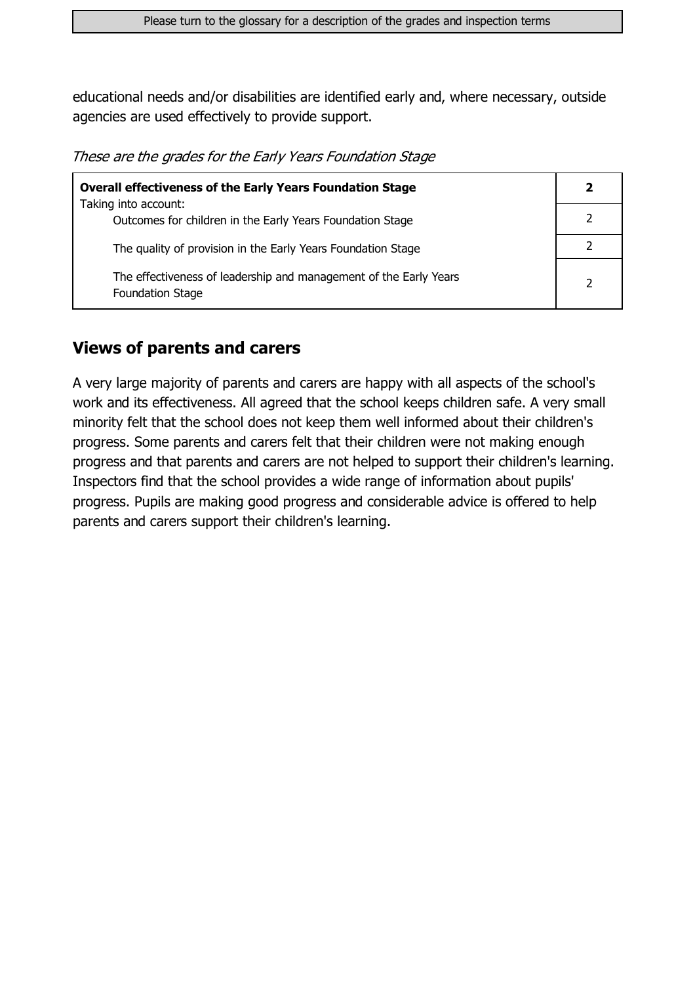educational needs and/or disabilities are identified early and, where necessary, outside agencies are used effectively to provide support.

These are the grades for the Early Years Foundation Stage

| <b>Overall effectiveness of the Early Years Foundation Stage</b>                             | 2              |
|----------------------------------------------------------------------------------------------|----------------|
| Taking into account:                                                                         |                |
| Outcomes for children in the Early Years Foundation Stage                                    |                |
| The quality of provision in the Early Years Foundation Stage                                 |                |
| The effectiveness of leadership and management of the Early Years<br><b>Foundation Stage</b> | $\overline{2}$ |

#### **Views of parents and carers**

A very large majority of parents and carers are happy with all aspects of the school's work and its effectiveness. All agreed that the school keeps children safe. A very small minority felt that the school does not keep them well informed about their children's progress. Some parents and carers felt that their children were not making enough progress and that parents and carers are not helped to support their children's learning. Inspectors find that the school provides a wide range of information about pupils' progress. Pupils are making good progress and considerable advice is offered to help parents and carers support their children's learning.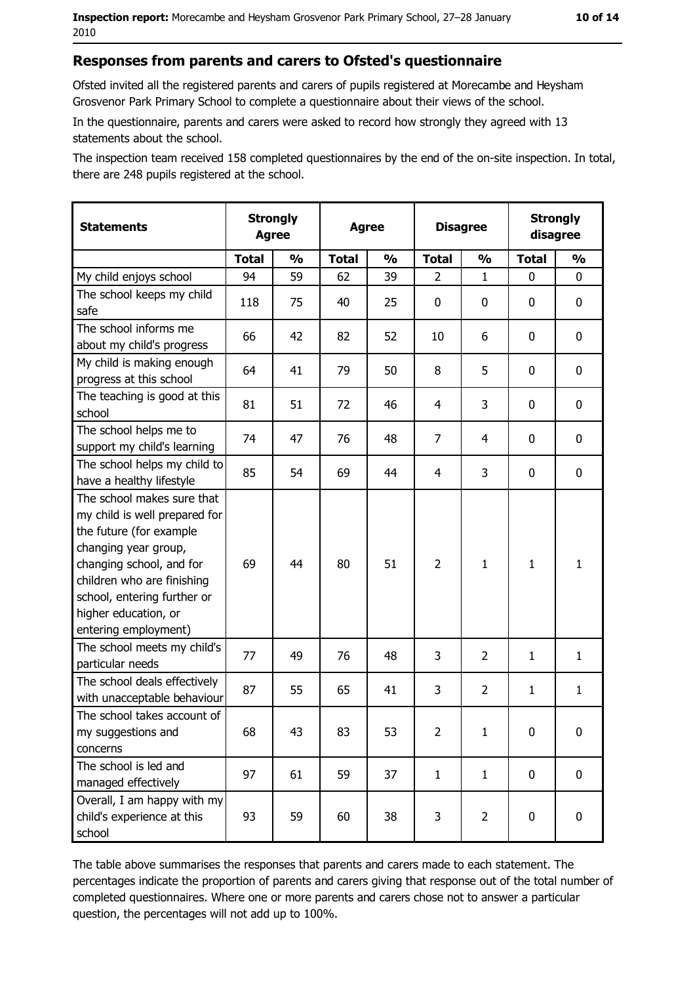#### Responses from parents and carers to Ofsted's questionnaire

Ofsted invited all the registered parents and carers of pupils registered at Morecambe and Hevsham Grosvenor Park Primary School to complete a questionnaire about their views of the school.

In the questionnaire, parents and carers were asked to record how strongly they agreed with 13 statements about the school.

The inspection team received 158 completed questionnaires by the end of the on-site inspection. In total, there are 248 pupils registered at the school.

| <b>Statements</b>                                                                                                                                                                                                                                       | <b>Strongly</b><br><b>Agree</b><br><b>Agree</b> |               |              | <b>Disagree</b> |                | <b>Strongly</b><br>disagree |              |                  |
|---------------------------------------------------------------------------------------------------------------------------------------------------------------------------------------------------------------------------------------------------------|-------------------------------------------------|---------------|--------------|-----------------|----------------|-----------------------------|--------------|------------------|
|                                                                                                                                                                                                                                                         | <b>Total</b>                                    | $\frac{1}{2}$ | <b>Total</b> | $\frac{0}{0}$   | <b>Total</b>   | $\frac{0}{0}$               | <b>Total</b> | $\frac{1}{2}$    |
| My child enjoys school                                                                                                                                                                                                                                  | 94                                              | 59            | 62           | 39              | $\overline{2}$ | $\mathbf 1$                 | 0            | 0                |
| The school keeps my child<br>safe                                                                                                                                                                                                                       | 118                                             | 75            | 40           | 25              | $\mathbf 0$    | 0                           | 0            | $\mathbf 0$      |
| The school informs me<br>about my child's progress                                                                                                                                                                                                      | 66                                              | 42            | 82           | 52              | 10             | 6                           | 0            | 0                |
| My child is making enough<br>progress at this school                                                                                                                                                                                                    | 64                                              | 41            | 79           | 50              | 8              | 5                           | 0            | 0                |
| The teaching is good at this<br>school                                                                                                                                                                                                                  | 81                                              | 51            | 72           | 46              | 4              | 3                           | 0            | 0                |
| The school helps me to<br>support my child's learning                                                                                                                                                                                                   | 74                                              | 47            | 76           | 48              | $\overline{7}$ | $\overline{4}$              | 0            | $\mathbf 0$      |
| The school helps my child to<br>have a healthy lifestyle                                                                                                                                                                                                | 85                                              | 54            | 69           | 44              | 4              | 3                           | 0            | $\mathbf 0$      |
| The school makes sure that<br>my child is well prepared for<br>the future (for example<br>changing year group,<br>changing school, and for<br>children who are finishing<br>school, entering further or<br>higher education, or<br>entering employment) | 69                                              | 44            | 80           | 51              | $\overline{2}$ | $\mathbf{1}$                | 1            | $\mathbf{1}$     |
| The school meets my child's<br>particular needs                                                                                                                                                                                                         | 77                                              | 49            | 76           | 48              | 3              | 2                           | $\mathbf{1}$ | $\mathbf{1}$     |
| The school deals effectively<br>with unacceptable behaviour                                                                                                                                                                                             | 87                                              | 55            | 65           | 41              | 3              | $\overline{2}$              | $\mathbf{1}$ | $\mathbf{1}$     |
| The school takes account of<br>my suggestions and<br>concerns                                                                                                                                                                                           | 68                                              | 43            | 83           | 53              | $\overline{2}$ | $\mathbf{1}$                | 0            | $\boldsymbol{0}$ |
| The school is led and<br>managed effectively                                                                                                                                                                                                            | 97                                              | 61            | 59           | 37              | $\mathbf{1}$   | $\mathbf{1}$                | $\mathbf 0$  | $\mathbf 0$      |
| Overall, I am happy with my<br>child's experience at this<br>school                                                                                                                                                                                     | 93                                              | 59            | 60           | 38              | 3              | $\overline{2}$              | 0            | 0                |

The table above summarises the responses that parents and carers made to each statement. The percentages indicate the proportion of parents and carers giving that response out of the total number of completed questionnaires. Where one or more parents and carers chose not to answer a particular question, the percentages will not add up to 100%.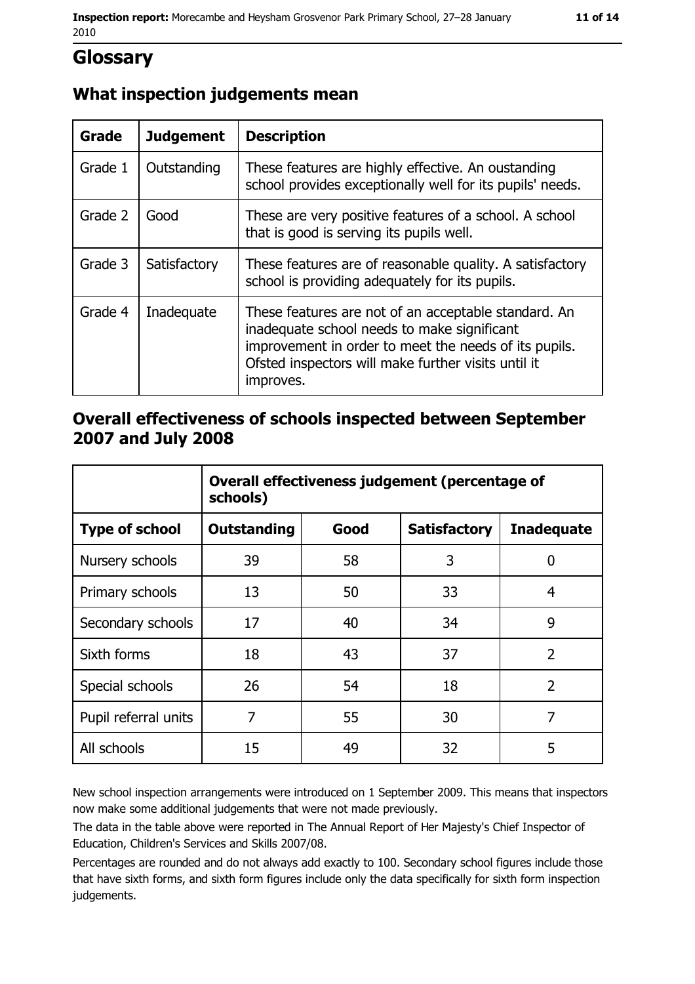## Glossary

## What inspection judgements mean

| Grade   | <b>Judgement</b> | <b>Description</b>                                                                                                                                                                                                               |
|---------|------------------|----------------------------------------------------------------------------------------------------------------------------------------------------------------------------------------------------------------------------------|
| Grade 1 | Outstanding      | These features are highly effective. An oustanding<br>school provides exceptionally well for its pupils' needs.                                                                                                                  |
| Grade 2 | Good             | These are very positive features of a school. A school<br>that is good is serving its pupils well.                                                                                                                               |
| Grade 3 | Satisfactory     | These features are of reasonable quality. A satisfactory<br>school is providing adequately for its pupils.                                                                                                                       |
| Grade 4 | Inadequate       | These features are not of an acceptable standard. An<br>inadequate school needs to make significant<br>improvement in order to meet the needs of its pupils.<br>Ofsted inspectors will make further visits until it<br>improves. |

### Overall effectiveness of schools inspected between September 2007 and July 2008

|                       | Overall effectiveness judgement (percentage of<br>schools) |      |                     |                   |
|-----------------------|------------------------------------------------------------|------|---------------------|-------------------|
| <b>Type of school</b> | <b>Outstanding</b>                                         | Good | <b>Satisfactory</b> | <b>Inadequate</b> |
| Nursery schools       | 39                                                         | 58   | 3                   | 0                 |
| Primary schools       | 13                                                         | 50   | 33                  | 4                 |
| Secondary schools     | 17                                                         | 40   | 34                  | 9                 |
| Sixth forms           | 18                                                         | 43   | 37                  | $\overline{2}$    |
| Special schools       | 26                                                         | 54   | 18                  | $\overline{2}$    |
| Pupil referral units  | 7                                                          | 55   | 30                  | 7                 |
| All schools           | 15                                                         | 49   | 32                  | 5                 |

New school inspection arrangements were introduced on 1 September 2009. This means that inspectors now make some additional judgements that were not made previously.

The data in the table above were reported in The Annual Report of Her Majesty's Chief Inspector of Education, Children's Services and Skills 2007/08.

Percentages are rounded and do not always add exactly to 100. Secondary school figures include those that have sixth forms, and sixth form figures include only the data specifically for sixth form inspection judgements.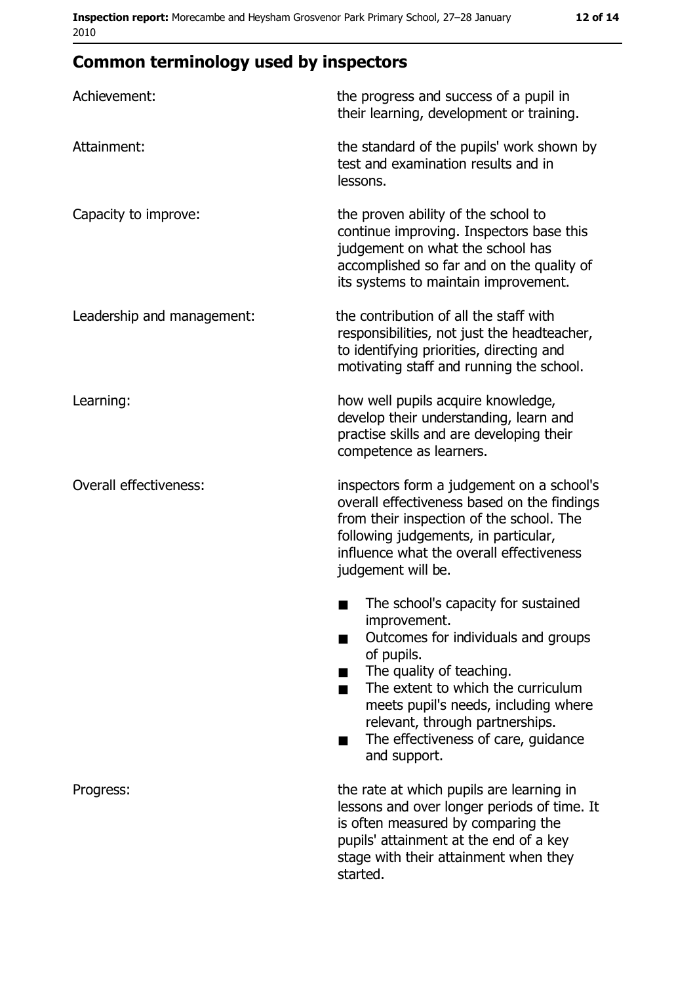## **Common terminology used by inspectors**

| Achievement:                  | the progress and success of a pupil in<br>their learning, development or training.                                                                                                                                                                                                                           |  |
|-------------------------------|--------------------------------------------------------------------------------------------------------------------------------------------------------------------------------------------------------------------------------------------------------------------------------------------------------------|--|
| Attainment:                   | the standard of the pupils' work shown by<br>test and examination results and in<br>lessons.                                                                                                                                                                                                                 |  |
| Capacity to improve:          | the proven ability of the school to<br>continue improving. Inspectors base this<br>judgement on what the school has<br>accomplished so far and on the quality of<br>its systems to maintain improvement.                                                                                                     |  |
| Leadership and management:    | the contribution of all the staff with<br>responsibilities, not just the headteacher,<br>to identifying priorities, directing and<br>motivating staff and running the school.                                                                                                                                |  |
| Learning:                     | how well pupils acquire knowledge,<br>develop their understanding, learn and<br>practise skills and are developing their<br>competence as learners.                                                                                                                                                          |  |
| <b>Overall effectiveness:</b> | inspectors form a judgement on a school's<br>overall effectiveness based on the findings<br>from their inspection of the school. The<br>following judgements, in particular,<br>influence what the overall effectiveness<br>judgement will be.                                                               |  |
|                               | The school's capacity for sustained<br>improvement.<br>Outcomes for individuals and groups<br>of pupils.<br>The quality of teaching.<br>The extent to which the curriculum<br>meets pupil's needs, including where<br>relevant, through partnerships.<br>The effectiveness of care, guidance<br>and support. |  |
| Progress:                     | the rate at which pupils are learning in<br>lessons and over longer periods of time. It<br>is often measured by comparing the<br>pupils' attainment at the end of a key<br>stage with their attainment when they<br>started.                                                                                 |  |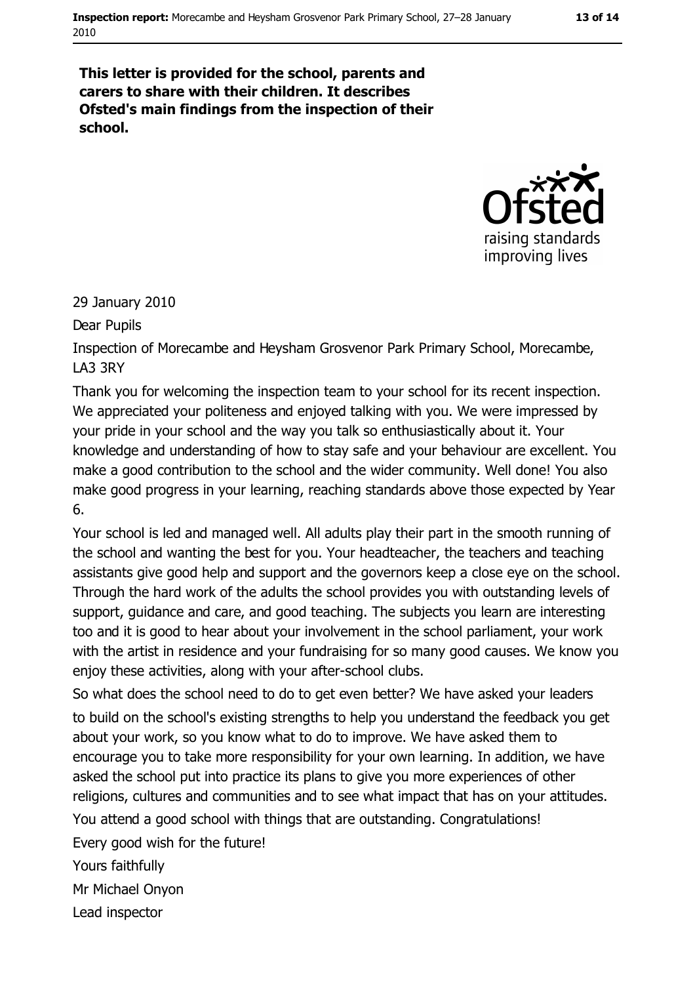#### 13 of 14

This letter is provided for the school, parents and carers to share with their children. It describes Ofsted's main findings from the inspection of their school.



29 January 2010

Dear Pupils

Inspection of Morecambe and Heysham Grosvenor Park Primary School, Morecambe, **LA3 3RY** 

Thank you for welcoming the inspection team to your school for its recent inspection. We appreciated your politeness and enjoyed talking with you. We were impressed by your pride in your school and the way you talk so enthusiastically about it. Your knowledge and understanding of how to stay safe and your behaviour are excellent. You make a good contribution to the school and the wider community. Well done! You also make good progress in your learning, reaching standards above those expected by Year 6.

Your school is led and managed well. All adults play their part in the smooth running of the school and wanting the best for you. Your headteacher, the teachers and teaching assistants give good help and support and the governors keep a close eye on the school. Through the hard work of the adults the school provides you with outstanding levels of support, quidance and care, and good teaching. The subjects you learn are interesting too and it is good to hear about your involvement in the school parliament, your work with the artist in residence and your fundraising for so many good causes. We know you enjoy these activities, along with your after-school clubs.

So what does the school need to do to get even better? We have asked your leaders to build on the school's existing strengths to help you understand the feedback you get about your work, so you know what to do to improve. We have asked them to encourage you to take more responsibility for your own learning. In addition, we have asked the school put into practice its plans to give you more experiences of other religions, cultures and communities and to see what impact that has on your attitudes.

You attend a good school with things that are outstanding. Congratulations!

Every good wish for the future!

Yours faithfully

Mr Michael Onvon

Lead inspector